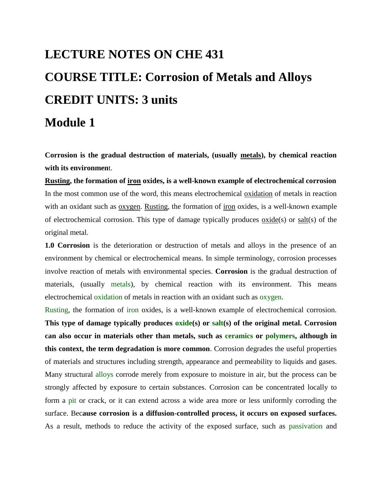# **LECTURE NOTES ON CHE 431 COURSE TITLE: Corrosion of Metals and Alloys CREDIT UNITS: 3 units Module 1**

**Corrosion is the gradual destruction of materials, (usually [metals\)](http://en.wikipedia.org/wiki/Metal), by chemical reaction with its environmen**t.

**[Rusting,](http://en.wikipedia.org/wiki/Rusting) the formation of [iron](http://en.wikipedia.org/wiki/Iron) oxides, is a well-known example of electrochemical corrosion** In the most common use of the word, this means electrochemical [oxidation](http://en.wikipedia.org/wiki/Oxidation) of metals in reaction with an oxidant such as [oxygen.](http://en.wikipedia.org/wiki/Oxygen) [Rusting,](http://en.wikipedia.org/wiki/Rusting) the formation of [iron](http://en.wikipedia.org/wiki/Iron) oxides, is a well-known example of electrochemical corrosion. This type of damage typically produces [oxide\(](http://en.wikipedia.org/wiki/Oxide)s) or [salt\(](http://en.wikipedia.org/wiki/Salt_%28chemistry%29)s) of the original metal.

**1.0 Corrosion** is the deterioration or destruction of metals and alloys in the presence of an environment by chemical or electrochemical means. In simple terminology, corrosion processes involve reaction of metals with environmental species. **Corrosion** is the gradual destruction of materials, (usually [metals\)](http://en.wikipedia.org/wiki/Metal), by chemical reaction with its environment. This means electrochemical [oxidation](http://en.wikipedia.org/wiki/Oxidation) of metals in reaction with an oxidant such as [oxygen.](http://en.wikipedia.org/wiki/Oxygen)

[Rusting,](http://en.wikipedia.org/wiki/Rusting) the formation of [iron](http://en.wikipedia.org/wiki/Iron) oxides, is a well-known example of electrochemical corrosion. **This type of damage typically produces [oxide\(](http://en.wikipedia.org/wiki/Oxide)s) or [salt\(](http://en.wikipedia.org/wiki/Salt_%28chemistry%29)s) of the original metal. Corrosion can also occur in materials other than metals, such as [ceramics](http://en.wikipedia.org/wiki/Ceramic_materials) or [polymers,](http://en.wikipedia.org/wiki/Polymers) although in this context, the term degradation is more common**. Corrosion degrades the useful properties of materials and structures including strength, appearance and permeability to liquids and gases. Many structural [alloys](http://en.wikipedia.org/wiki/Alloy) corrode merely from exposure to moisture in air, but the process can be strongly affected by exposure to certain substances. Corrosion can be concentrated locally to form a [pit](http://en.wikipedia.org/wiki/Corrosion#Pitting_corrosion) or crack, or it can extend across a wide area more or less uniformly corroding the surface. Bec**ause corrosion is a diffusion-controlled process, it occurs on exposed surfaces.** As a result, methods to reduce the activity of the exposed surface, such as [passivation](http://en.wikipedia.org/wiki/Passivation_%28chemistry%29) and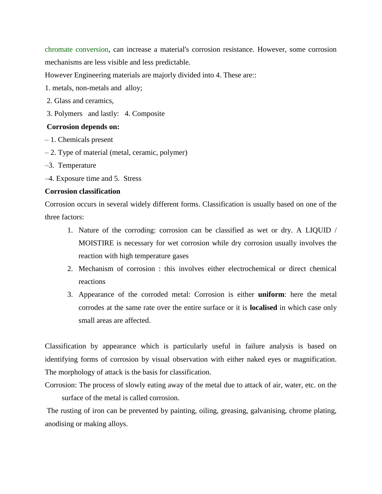[chromate conversion,](http://en.wikipedia.org/wiki/Chromate_conversion_coating) can increase a material's corrosion resistance. However, some corrosion mechanisms are less visible and less predictable.

However Engineering materials are majorly divided into 4. These are::

- 1. metals, non-metals and alloy;
- 2. Glass and ceramics,
- 3. Polymers and lastly: 4. Composite

#### **Corrosion depends on:**

- 1. Chemicals present
- 2. Type of material (metal, ceramic, polymer)
- –3. Temperature
- –4. Exposure time and 5. Stress

#### **Corrosion classification**

Corrosion occurs in several widely different forms. Classification is usually based on one of the three factors:

- 1. Nature of the corroding: corrosion can be classified as wet or dry. A LIQUID / MOISTIRE is necessary for wet corrosion while dry corrosion usually involves the reaction with high temperature gases
- 2. Mechanism of corrosion : this involves either electrochemical or direct chemical reactions
- 3. Appearance of the corroded metal: Corrosion is either **uniform**: here the metal corrodes at the same rate over the entire surface or it is **localised** in which case only small areas are affected.

Classification by appearance which is particularly useful in failure analysis is based on identifying forms of corrosion by visual observation with either naked eyes or magnification. The morphology of attack is the basis for classification.

Corrosion: The process of slowly eating away of the metal due to attack of air, water, etc. on the surface of the metal is called corrosion.

The rusting of iron can be prevented by painting, oiling, greasing, galvanising, chrome plating, anodising or making alloys.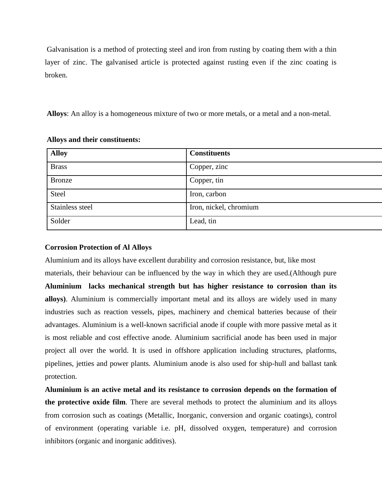Galvanisation is a method of protecting steel and iron from rusting by coating them with a thin layer of zinc. The galvanised article is protected against rusting even if the zinc coating is broken.

**Alloys**: An alloy is a homogeneous mixture of two or more metals, or a metal and a non-metal.

| <b>Alloy</b>    | <b>Constituents</b>    |
|-----------------|------------------------|
| <b>Brass</b>    | Copper, zinc           |
| <b>Bronze</b>   | Copper, tin            |
| <b>Steel</b>    | Iron, carbon           |
| Stainless steel | Iron, nickel, chromium |
| Solder          | Lead, tin              |

## **Alloys and their constituents:**

# **Corrosion Protection of Al Alloys**

Aluminium and its alloys have excellent durability and corrosion resistance, but, like most materials, their behaviour can be influenced by the way in which they are used.(Although pure **Aluminium lacks mechanical strength but has higher resistance to corrosion than its alloys)**. Aluminium is commercially important metal and its alloys are widely used in many industries such as reaction vessels, pipes, machinery and chemical batteries because of their advantages. Aluminium is a well-known sacrificial anode if couple with more passive metal as it is most reliable and cost effective anode. Aluminium sacrificial anode has been used in major project all over the world. It is used in offshore application including structures, platforms, pipelines, jetties and power plants. Aluminium anode is also used for ship-hull and ballast tank protection.

**Aluminium is an active metal and its resistance to corrosion depends on the formation of the protective oxide film**. There are several methods to protect the aluminium and its alloys from corrosion such as coatings (Metallic, Inorganic, conversion and organic coatings), control of environment (operating variable i.e. pH, dissolved oxygen, temperature) and corrosion inhibitors (organic and inorganic additives).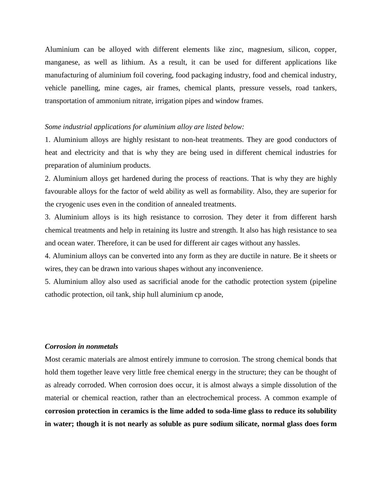Aluminium can be alloyed with different elements like zinc, magnesium, silicon, copper, manganese, as well as lithium. As a result, it can be used for different applications like manufacturing of aluminium foil covering, food packaging industry, food and chemical industry, vehicle panelling, mine cages, air frames, chemical plants, pressure vessels, road tankers, transportation of ammonium nitrate, irrigation pipes and window frames.

#### *Some industrial applications for aluminium alloy are listed below:*

1. Aluminium alloys are highly resistant to non-heat treatments. They are good conductors of heat and electricity and that is why they are being used in different chemical industries for preparation of aluminium products.

2. Aluminium alloys get hardened during the process of reactions. That is why they are highly favourable alloys for the factor of weld ability as well as formability. Also, they are superior for the cryogenic uses even in the condition of annealed treatments.

3. Aluminium alloys is its high resistance to corrosion. They deter it from different harsh chemical treatments and help in retaining its lustre and strength. It also has high resistance to sea and ocean water. Therefore, it can be used for different air cages without any hassles.

4. Aluminium alloys can be converted into any form as they are ductile in nature. Be it sheets or wires, they can be drawn into various shapes without any inconvenience.

5. Aluminium alloy also used as sacrificial anode for the cathodic protection system (pipeline cathodic protection, oil tank, ship hull aluminium cp anode,

# *Corrosion in nonmetals*

Most [ceramic](http://en.wikipedia.org/wiki/Ceramic) materials are almost entirely immune to corrosion. The strong [chemical bonds](http://en.wikipedia.org/wiki/Chemical_bond) that hold them together leave very little free chemical energy in the structure; they can be thought of as already corroded. When corrosion does occur, it is almost always a simple dissolution of the material or chemical reaction, rather than an electrochemical process. A common example of **corrosion protection in ceramics is the [lime](http://en.wikipedia.org/wiki/Calcium_oxide) added to soda-lime [glass](http://en.wikipedia.org/wiki/Glass) to reduce its solubility in water; though it is not nearly as soluble as pure [sodium silicate,](http://en.wikipedia.org/wiki/Sodium_silicate) normal glass does form**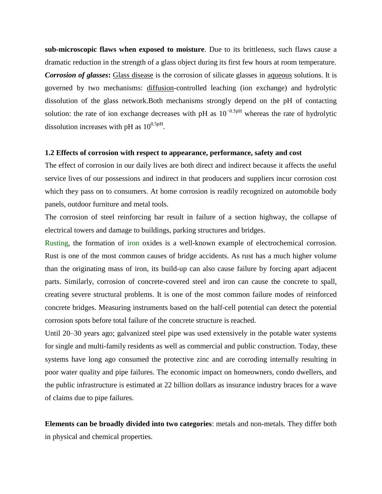**sub-microscopic flaws when exposed to moisture**. Due to its [brittleness,](http://en.wikipedia.org/wiki/Brittle) such flaws cause a dramatic reduction in the strength of a glass object during its first few hours at room temperature. **Corrosion of glasses:** [Glass disease](http://en.wikipedia.org/wiki/Glass_disease) is the corrosion of silicate glasses in [aqueous](http://en.wikipedia.org/wiki/Aqueous) solutions. It is governed by two mechanisms: [diffusion-](http://en.wikipedia.org/wiki/Diffusion)controlled leaching (ion exchange) and hydrolytic dissolution of the glass network.Both mechanisms strongly depend on the pH of contacting solution: the rate of ion exchange decreases with pH as  $10^{-0.5pH}$  whereas the rate of hydrolytic dissolution increases with pH as  $10^{0.5pH}$ .

#### **1.2 Effects of corrosion with respect to appearance, performance, safety and cost**

The effect of corrosion in our daily lives are both direct and indirect because it affects the useful service lives of our possessions and indirect in that producers and suppliers incur corrosion cost which they pass on to consumers. At home corrosion is readily recognized on automobile body panels, outdoor furniture and metal tools.

The corrosion of steel reinforcing bar result in failure of a section highway, the collapse of electrical towers and damage to buildings, parking structures and bridges.

[Rusting,](http://en.wikipedia.org/wiki/Rusting) the formation of [iron](http://en.wikipedia.org/wiki/Iron) oxides is a well-known example of electrochemical corrosion. Rust is one of the most common causes of bridge accidents. As rust has a much higher volume than the originating mass of iron, its build-up can also cause failure by forcing apart adjacent parts. Similarly, corrosion of concrete-covered steel and iron can cause the concrete to [spall,](http://en.wikipedia.org/wiki/Spall) creating severe structural problems. It is one of the most common failure modes of [reinforced](http://en.wikipedia.org/wiki/Reinforced_concrete)  [concrete](http://en.wikipedia.org/wiki/Reinforced_concrete) [bridges.](http://en.wikipedia.org/wiki/Bridge) Measuring instruments based on the [half-cell potential](http://en.wikipedia.org/w/index.php?title=Half-cell_potential_field_measurement_of_concrete&action=edit&redlink=1) can detect the potential corrosion spots before total failure of the concrete structure is reached.

Until 20–30 years ago; galvanized steel pipe was used extensively in the potable water systems for single and multi-family residents as well as commercial and public construction. Today, these systems have long ago consumed the protective zinc and are corroding internally resulting in poor water quality and pipe failures. The economic impact on homeowners, condo dwellers, and the public infrastructure is estimated at 22 billion dollars as insurance industry braces for a wave of claims due to pipe failures.

**Elements can be broadly divided into two categories**: metals and non-metals. They differ both in physical and chemical properties.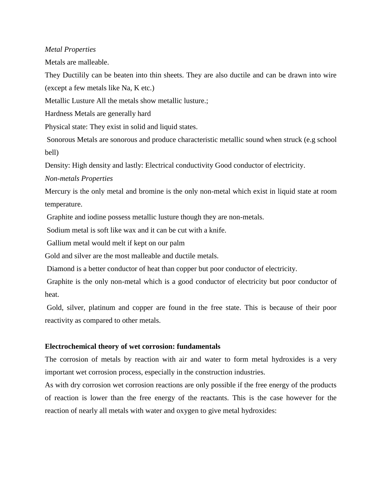# *Metal Properties*

Metals are malleable.

They Ductilily can be beaten into thin sheets. They are also ductile and can be drawn into wire (except a few metals like Na, K etc.)

Metallic Lusture All the metals show metallic lusture.;

Hardness Metals are generally hard

Physical state: They exist in solid and liquid states.

Sonorous Metals are sonorous and produce characteristic metallic sound when struck (e.g school bell)

Density: High density and lastly: Electrical conductivity Good conductor of electricity.

*Non-metals Properties* 

Mercury is the only metal and bromine is the only non-metal which exist in liquid state at room temperature.

Graphite and iodine possess metallic lusture though they are non-metals.

Sodium metal is soft like wax and it can be cut with a knife.

Gallium metal would melt if kept on our palm

Gold and silver are the most malleable and ductile metals.

Diamond is a better conductor of heat than copper but poor conductor of electricity.

Graphite is the only non-metal which is a good conductor of electricity but poor conductor of heat.

Gold, silver, platinum and copper are found in the free state. This is because of their poor reactivity as compared to other metals.

# **Electrochemical theory of wet corrosion: fundamentals**

The corrosion of metals by reaction with air and water to form metal hydroxides is a very important wet corrosion process, especially in the construction industries.

As with dry corrosion wet corrosion reactions are only possible if the free energy of the products of reaction is lower than the free energy of the reactants. This is the case however for the reaction of nearly all metals with water and oxygen to give metal hydroxides: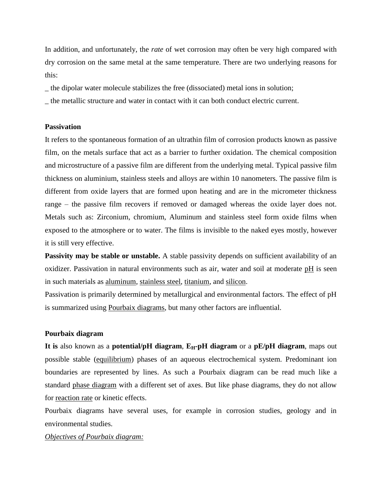In addition, and unfortunately, the *rate* of wet corrosion may often be very high compared with dry corrosion on the same metal at the same temperature. There are two underlying reasons for this:

\_ the dipolar water molecule stabilizes the free (dissociated) metal ions in solution;

\_ the metallic structure and water in contact with it can both conduct electric current.

#### **Passivation**

It refers to the spontaneous formation of an ultrathin film of corrosion products known as passive film, on the metals surface that act as a barrier to further oxidation. The chemical composition and microstructure of a passive film are different from the underlying metal. Typical passive film thickness on aluminium, stainless steels and alloys are within 10 nanometers. The passive film is different from oxide layers that are formed upon heating and are in the micrometer thickness range – the passive film recovers if removed or damaged whereas the oxide layer does not. Metals such as: Zirconium, chromium, Aluminum and stainless steel form oxide films when exposed to the atmosphere or to water. The films is invisible to the naked eyes mostly, however it is still very effective.

**Passivity may be stable or unstable.** A stable passivity depends on sufficient availability of an oxidizer. Passivation in natural environments such as air, water and soil at moderate [pH](http://en.wikipedia.org/wiki/PH) is seen in such materials as [aluminum,](http://en.wikipedia.org/wiki/Aluminium) [stainless steel,](http://en.wikipedia.org/wiki/Stainless_steel) [titanium,](http://en.wikipedia.org/wiki/Titanium) and [silicon.](http://en.wikipedia.org/wiki/Silicon)

Passivation is primarily determined by metallurgical and environmental factors. The effect of pH is summarized using [Pourbaix diagrams,](http://en.wikipedia.org/wiki/Pourbaix_diagram) but many other factors are influential.

#### **Pourbaix diagram**

**It is** also known as a **potential/pH** diagram,  $E_H$ -pH diagram or a pE/pH diagram, maps out possible stable [\(equilibrium\)](http://en.wikipedia.org/wiki/Chemical_equilibrium) phases of an aqueous electrochemical system. Predominant ion boundaries are represented by lines. As such a Pourbaix diagram can be read much like a standard [phase diagram](http://en.wikipedia.org/wiki/Phase_diagram) with a different set of axes. But like phase diagrams, they do not allow for [reaction rate](http://en.wikipedia.org/wiki/Reaction_rate) or kinetic effects.

Pourbaix diagrams have several uses, for example in corrosion studies, geology and in environmental studies.

*Objectives of Pourbaix diagram:*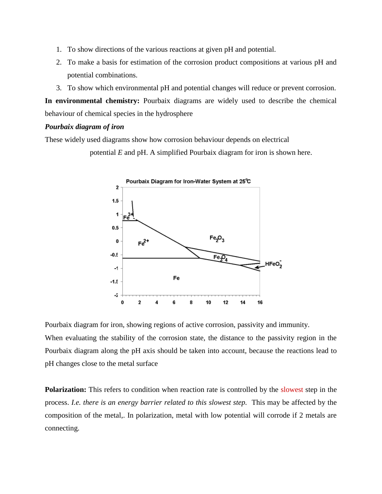- 1. To show directions of the various reactions at given pH and potential.
- 2. To make a basis for estimation of the corrosion product compositions at various pH and potential combinations.
- 3. To show which environmental pH and potential changes will reduce or prevent corrosion.

**In environmental chemistry:** Pourbaix diagrams are widely used to describe the chemical behaviour of chemical species in the hydrosphere

# *Pourbaix diagram of iron*

These widely used diagrams show how corrosion behaviour depends on electrical

potential *E* and pH. A simplified Pourbaix diagram for iron is shown here.



Pourbaix diagram for iron, showing regions of active corrosion, passivity and immunity.

When evaluating the stability of the corrosion state, the distance to the passivity region in the Pourbaix diagram along the pH axis should be taken into account, because the reactions lead to pH changes close to the metal surface

**Polarization:** This refers to condition when reaction rate is controlled by the slowest step in the process. *I.e. there is an energy barrier related to this slowest step.* This may be affected by the composition of the metal,. In polarization, metal with low potential will corrode if 2 metals are connecting.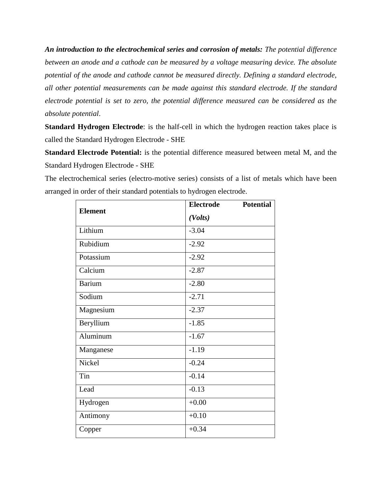*An introduction to the electrochemical series and corrosion of metals: The potential difference between an anode and a cathode can be measured by a voltage measuring device. The absolute potential of the anode and cathode cannot be measured directly. Defining a standard electrode, all other potential measurements can be made against this standard electrode. If the standard electrode potential is set to zero, the potential difference measured can be considered as the absolute potential*.

**Standard Hydrogen Electrode**: is the half-cell in which the hydrogen reaction takes place is called the Standard Hydrogen Electrode - SHE

**Standard Electrode Potential:** is the potential difference measured between metal M, and the Standard Hydrogen Electrode - SHE

The electrochemical series (electro-motive series) consists of a list of metals which have been arranged in order of their standard potentials to hydrogen electrode.

| <b>Element</b>               | <b>Electrode</b> | <b>Potential</b> |
|------------------------------|------------------|------------------|
|                              | (Volts)          |                  |
| Lithium                      | $-3.04$          |                  |
| Rubidium                     | $-2.92$          |                  |
| Potassium                    | $-2.92$          |                  |
| $\overline{\text{Calc}}$ ium | $-2.87$          |                  |
| <b>Barium</b>                | $-2.80$          |                  |
| Sodium                       | $-2.71$          |                  |
| Magnesium                    | $-2.37$          |                  |
| Beryllium                    | $-1.85$          |                  |
| Aluminum                     | $-1.67$          |                  |
| Manganese                    | $-1.19$          |                  |
| Nickel                       | $-0.24$          |                  |
| Tin                          | $-0.14$          |                  |
| Lead                         | $-0.13$          |                  |
| Hydrogen                     | $+0.00$          |                  |
| Antimony                     | $+0.10$          |                  |
| Copper                       | $+0.34$          |                  |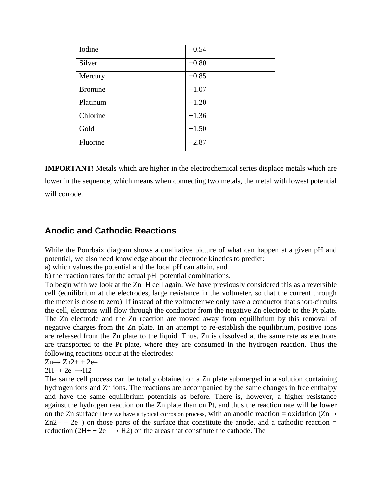| Iodine         | $+0.54$ |
|----------------|---------|
| Silver         | $+0.80$ |
| Mercury        | $+0.85$ |
| <b>Bromine</b> | $+1.07$ |
| Platinum       | $+1.20$ |
| Chlorine       | $+1.36$ |
| Gold           | $+1.50$ |
| Fluorine       | $+2.87$ |

**IMPORTANT!** Metals which are higher in the electrochemical series displace metals which are lower in the sequence, which means when connecting two metals, the metal with lowest potential will corrode.

# **Anodic and Cathodic Reactions**

While the Pourbaix diagram shows a qualitative picture of what can happen at a given pH and potential, we also need knowledge about the electrode kinetics to predict:

a) which values the potential and the local pH can attain, and

b) the reaction rates for the actual pH–potential combinations.

To begin with we look at the Zn–H cell again. We have previously considered this as a reversible cell (equilibrium at the electrodes, large resistance in the voltmeter, so that the current through the meter is close to zero). If instead of the voltmeter we only have a conductor that short-circuits the cell, electrons will flow through the conductor from the negative Zn electrode to the Pt plate. The Zn electrode and the Zn reaction are moved away from equilibrium by this removal of negative charges from the Zn plate. In an attempt to re-establish the equilibrium, positive ions are released from the Zn plate to the liquid. Thus, Zn is dissolved at the same rate as electrons are transported to the Pt plate, where they are consumed in the hydrogen reaction. Thus the following reactions occur at the electrodes:

 $Zn \rightarrow Zn2++2e-$ 

 $2H++ 2e \rightarrow H2$ 

The same cell process can be totally obtained on a Zn plate submerged in a solution containing hydrogen ions and Zn ions. The reactions are accompanied by the same changes in free enthalpy and have the same equilibrium potentials as before. There is, however, a higher resistance against the hydrogen reaction on the Zn plate than on Pt, and thus the reaction rate will be lower on the Zn surface Here we have a typical corrosion process, with an anodic reaction = oxidation ( $\text{Zn}\rightarrow\text{Zn}$  $Zn2+ + 2e$ ) on those parts of the surface that constitute the anode, and a cathodic reaction = reduction  $(2H + 2e^- \rightarrow H2)$  on the areas that constitute the cathode. The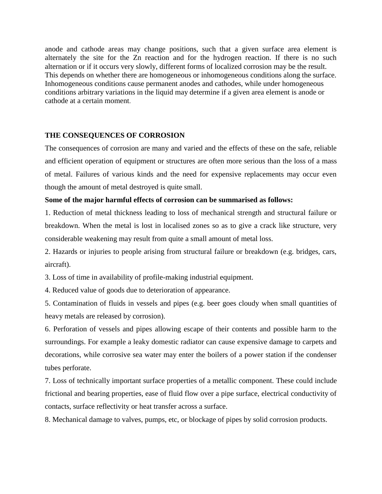anode and cathode areas may change positions, such that a given surface area element is alternately the site for the Zn reaction and for the hydrogen reaction. If there is no such alternation or if it occurs very slowly, different forms of localized corrosion may be the result. This depends on whether there are homogeneous or inhomogeneous conditions along the surface. Inhomogeneous conditions cause permanent anodes and cathodes, while under homogeneous conditions arbitrary variations in the liquid may determine if a given area element is anode or cathode at a certain moment.

# **THE CONSEQUENCES OF CORROSION**

The consequences of corrosion are many and varied and the effects of these on the safe, reliable and efficient operation of equipment or structures are often more serious than the loss of a mass of metal. Failures of various kinds and the need for expensive replacements may occur even though the amount of metal destroyed is quite small.

## **Some of the major harmful effects of corrosion can be summarised as follows:**

1. Reduction of metal thickness leading to loss of mechanical strength and structural failure or breakdown. When the metal is lost in localised zones so as to give a crack like structure, very considerable weakening may result from quite a small amount of metal loss.

2. Hazards or injuries to people arising from structural failure or breakdown (e.g. bridges, cars, aircraft).

3. Loss of time in availability of profile-making industrial equipment.

4. Reduced value of goods due to deterioration of appearance.

5. Contamination of fluids in vessels and pipes (e.g. beer goes cloudy when small quantities of heavy metals are released by corrosion).

6. Perforation of vessels and pipes allowing escape of their contents and possible harm to the surroundings. For example a leaky domestic radiator can cause expensive damage to carpets and decorations, while corrosive sea water may enter the boilers of a power station if the condenser tubes perforate.

7. Loss of technically important surface properties of a metallic component. These could include frictional and bearing properties, ease of fluid flow over a pipe surface, electrical conductivity of contacts, surface reflectivity or heat transfer across a surface.

8. Mechanical damage to valves, pumps, etc, or blockage of pipes by solid corrosion products.